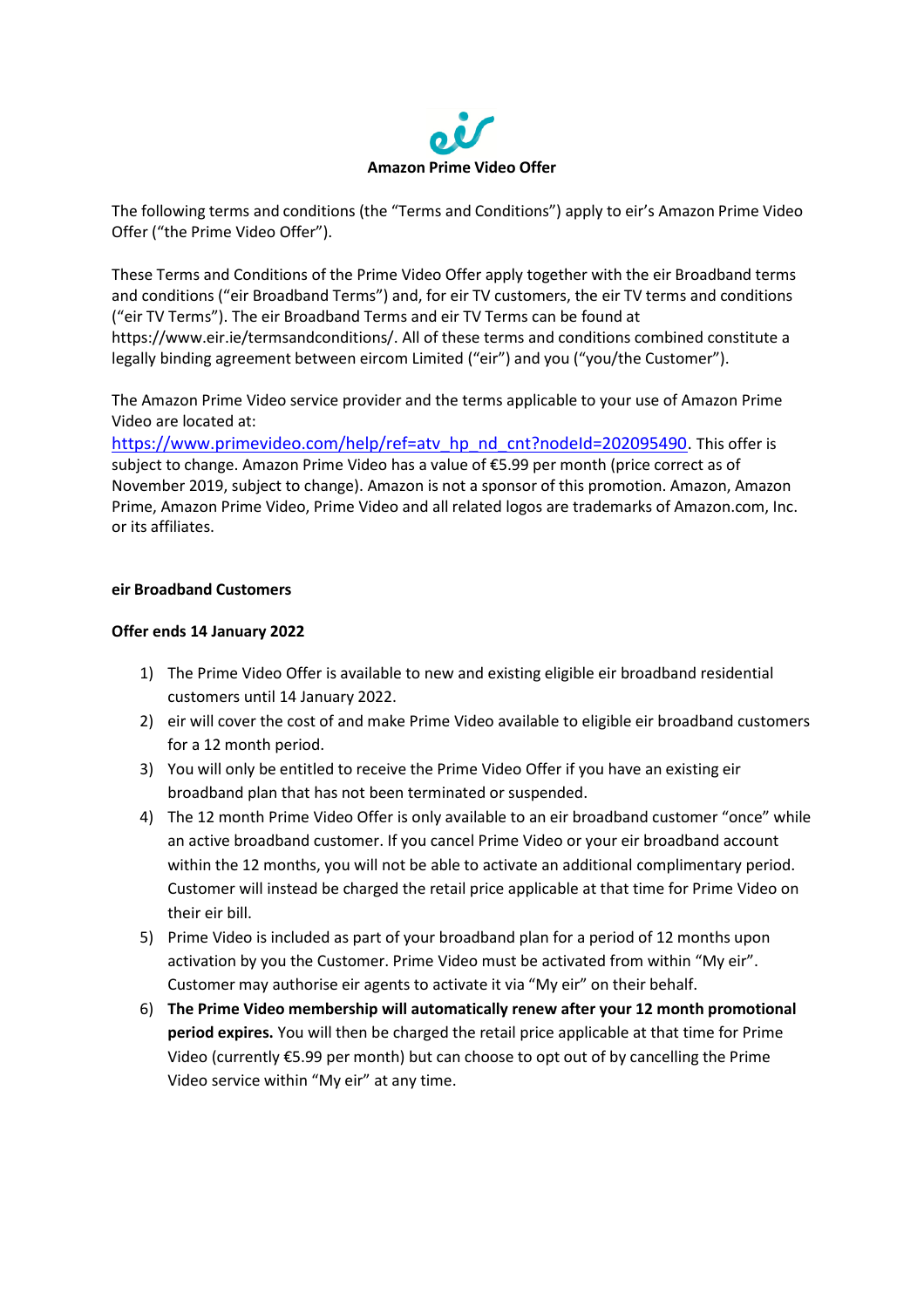

The following terms and conditions (the "Terms and Conditions") apply to eir's Amazon Prime Video Offer ("the Prime Video Offer").

These Terms and Conditions of the Prime Video Offer apply together with the eir Broadband terms and conditions ("eir Broadband Terms") and, for eir TV customers, the eir TV terms and conditions ("eir TV Terms"). The eir Broadband Terms and eir TV Terms can be found at [https://www.eir.ie/termsandconditions/.](https://www.eir.ie/termsandconditions/) All of these terms and conditions combined constitute a legally binding agreement between eircom Limited ("eir") and you ("you/the Customer").

The Amazon Prime Video service provider and the terms applicable to your use of Amazon Prime Video are located at:

https://www.primevideo.com/help/ref=aty\_hp\_nd\_cnt?nodeId=202095490. This offer is subject to change. Amazon Prime Video has a value of €5.99 per month (price correct as of November 2019, subject to change). Amazon is not a sponsor of this promotion. Amazon, Amazon Prime, Amazon Prime Video, Prime Video and all related logos are trademarks of Amazon.com, Inc. or its affiliates.

## **eir Broadband Customers**

## **Offer ends 14 January 2022**

- 1) The Prime Video Offer is available to new and existing eligible eir broadband residential customers until 14 January 2022.
- 2) eir will cover the cost of and make Prime Video available to eligible eir broadband customers for a 12 month period.
- 3) You will only be entitled to receive the Prime Video Offer if you have an existing eir broadband plan that has not been terminated or suspended.
- 4) The 12 month Prime Video Offer is only available to an eir broadband customer "once" while an active broadband customer. If you cancel Prime Video or your eir broadband account within the 12 months, you will not be able to activate an additional complimentary period. Customer will instead be charged the retail price applicable at that time for Prime Video on their eir bill.
- 5) Prime Video is included as part of your broadband plan for a period of 12 months upon activation by you the Customer. Prime Video must be activated from within "My eir". Customer may authorise eir agents to activate it via "My eir" on their behalf.
- 6) **The Prime Video membership will automatically renew after your 12 month promotional period expires.** You will then be charged the retail price applicable at that time for Prime Video (currently €5.99 per month) but can choose to opt out of by cancelling the Prime Video service within "My eir" at any time.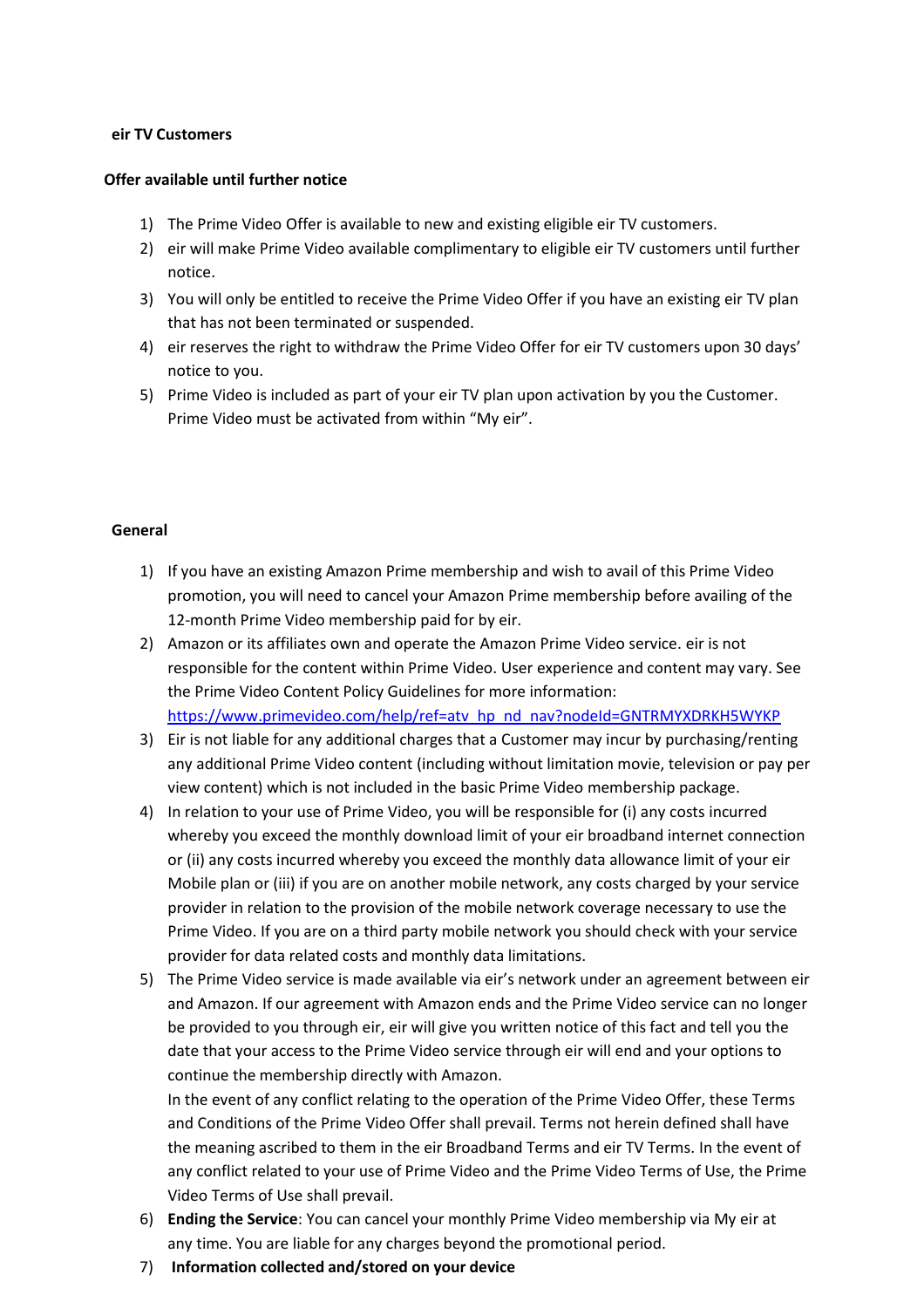## **eir TV Customers**

### **Offer available until further notice**

- 1) The Prime Video Offer is available to new and existing eligible eir TV customers.
- 2) eir will make Prime Video available complimentary to eligible eir TV customers until further notice.
- 3) You will only be entitled to receive the Prime Video Offer if you have an existing eir TV plan that has not been terminated or suspended.
- 4) eir reserves the right to withdraw the Prime Video Offer for eir TV customers upon 30 days' notice to you.
- 5) Prime Video is included as part of your eir TV plan upon activation by you the Customer. Prime Video must be activated from within "My eir".

#### **General**

- 1) If you have an existing Amazon Prime membership and wish to avail of this Prime Video promotion, you will need to cancel your Amazon Prime membership before availing of the 12-month Prime Video membership paid for by eir.
- 2) Amazon or its affiliates own and operate the Amazon Prime Video service. eir is not responsible for the content within Prime Video. User experience and content may vary. See the Prime Video Content Policy Guidelines for more information: [https://www.primevideo.com/help/ref=atv\\_hp\\_nd\\_nav?nodeId=GNTRMYXDRKH5WYKP](https://www.primevideo.com/help/ref%3Datv_hp_nd_nav?nodeId=GNTRMYXDRKH5WYKP)
- 3) Eir is not liable for any additional charges that a Customer may incur by purchasing/renting any additional Prime Video content (including without limitation movie, television or pay per view content) which is not included in the basic Prime Video membership package.
- 4) In relation to your use of Prime Video, you will be responsible for (i) any costs incurred whereby you exceed the monthly download limit of your eir broadband internet connection or (ii) any costs incurred whereby you exceed the monthly data allowance limit of your eir Mobile plan or (iii) if you are on another mobile network, any costs charged by your service provider in relation to the provision of the mobile network coverage necessary to use the Prime Video. If you are on a third party mobile network you should check with your service provider for data related costs and monthly data limitations.
- 5) The Prime Video service is made available via eir's network under an agreement between eir and Amazon. If our agreement with Amazon ends and the Prime Video service can no longer be provided to you through eir, eir will give you written notice of this fact and tell you the date that your access to the Prime Video service through eir will end and your options to continue the membership directly with Amazon.

In the event of any conflict relating to the operation of the Prime Video Offer, these Terms and Conditions of the Prime Video Offer shall prevail. Terms not herein defined shall have the meaning ascribed to them in the eir Broadband Terms and eir TV Terms. In the event of any conflict related to your use of Prime Video and the Prime Video Terms of Use, the Prime Video Terms of Use shall prevail.

- 6) **Ending the Service**: You can cancel your monthly Prime Video membership via My eir at any time. You are liable for any charges beyond the promotional period.
- 7) **Information collected and/stored on your device**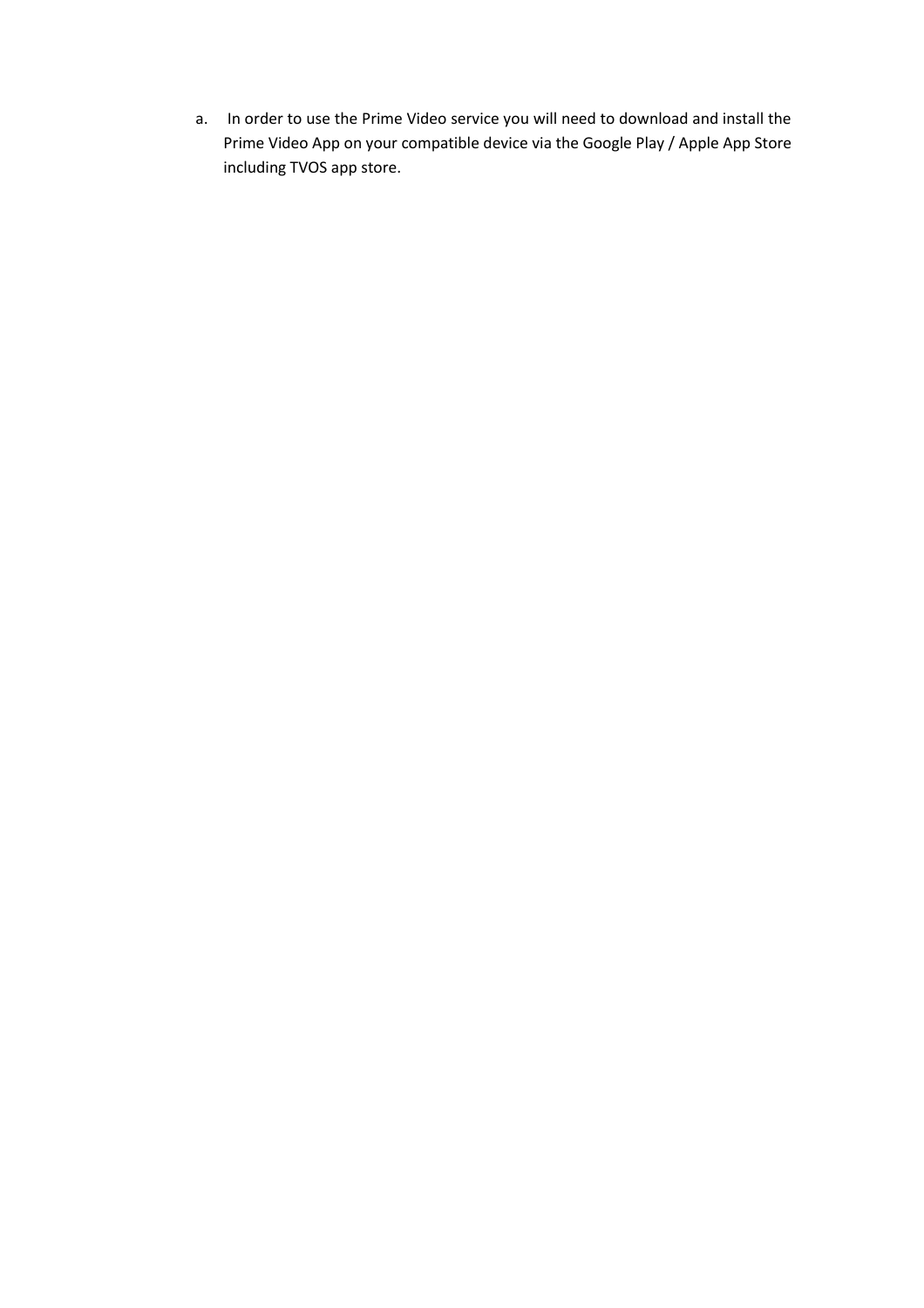a. In order to use the Prime Video service you will need to download and install the Prime Video App on your compatible device via the Google Play / Apple App Store including TVOS app store.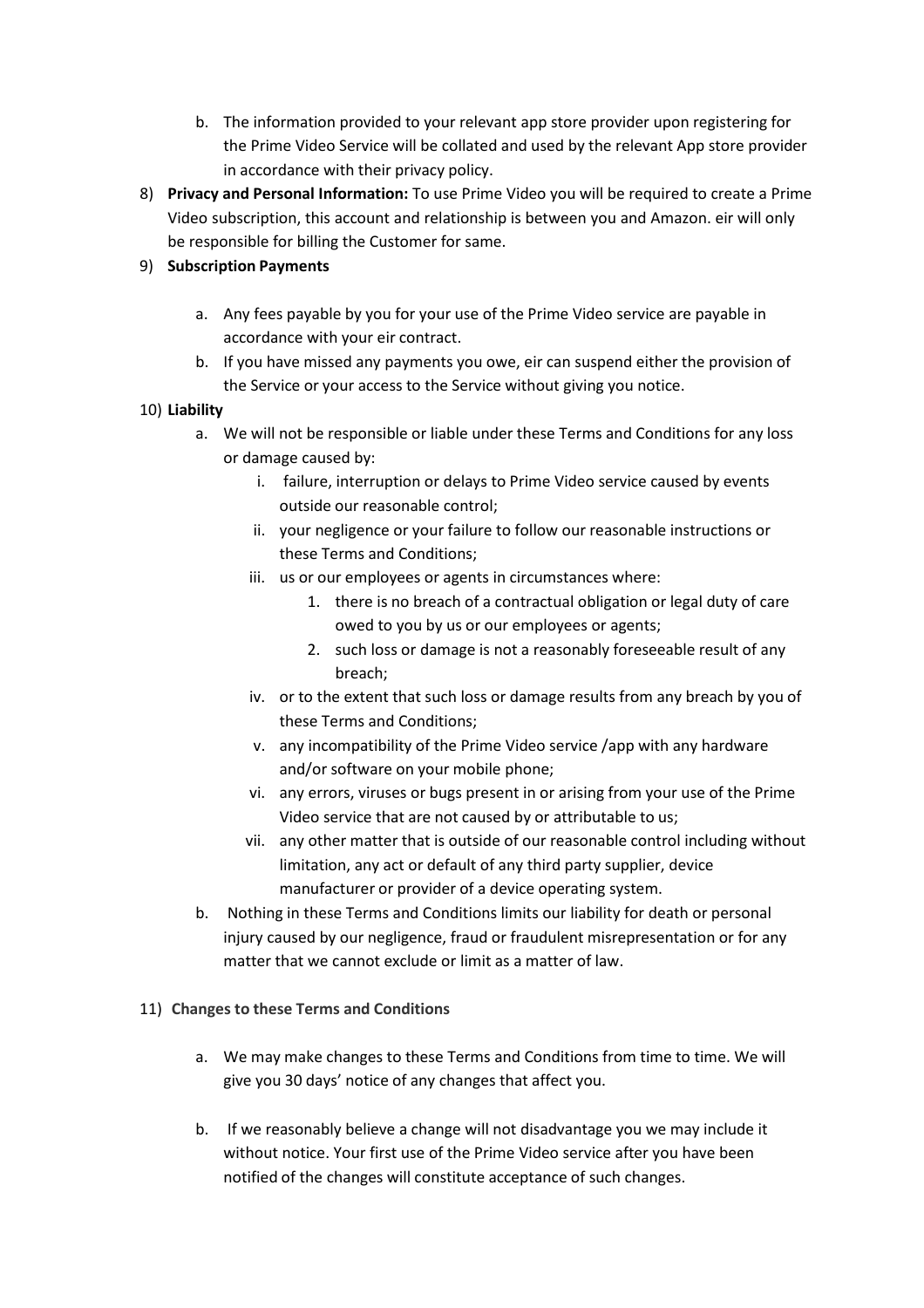- b. The information provided to your relevant app store provider upon registering for the Prime Video Service will be collated and used by the relevant App store provider in accordance with their privacy policy.
- 8) **Privacy and Personal Information:** To use Prime Video you will be required to create a Prime Video subscription, this account and relationship is between you and Amazon. eir will only be responsible for billing the Customer for same.

# 9) **Subscription Payments**

- a. Any fees payable by you for your use of the Prime Video service are payable in accordance with your eir contract.
- b. If you have missed any payments you owe, eir can suspend either the provision of the Service or your access to the Service without giving you notice.

# 10) **Liability**

- a. We will not be responsible or liable under these Terms and Conditions for any loss or damage caused by:
	- i. failure, interruption or delays to Prime Video service caused by events outside our reasonable control;
	- ii. your negligence or your failure to follow our reasonable instructions or these Terms and Conditions;
	- iii. us or our employees or agents in circumstances where:
		- 1. there is no breach of a contractual obligation or legal duty of care owed to you by us or our employees or agents;
		- 2. such loss or damage is not a reasonably foreseeable result of any breach;
	- iv. or to the extent that such loss or damage results from any breach by you of these Terms and Conditions;
	- v. any incompatibility of the Prime Video service /app with any hardware and/or software on your mobile phone;
	- vi. any errors, viruses or bugs present in or arising from your use of the Prime Video service that are not caused by or attributable to us;
	- vii. any other matter that is outside of our reasonable control including without limitation, any act or default of any third party supplier, device manufacturer or provider of a device operating system.
- b. Nothing in these Terms and Conditions limits our liability for death or personal injury caused by our negligence, fraud or fraudulent misrepresentation or for any matter that we cannot exclude or limit as a matter of law.

## 11) **Changes to these Terms and Conditions**

- a. We may make changes to these Terms and Conditions from time to time. We will give you 30 days' notice of any changes that affect you.
- b. If we reasonably believe a change will not disadvantage you we may include it without notice. Your first use of the Prime Video service after you have been notified of the changes will constitute acceptance of such changes.